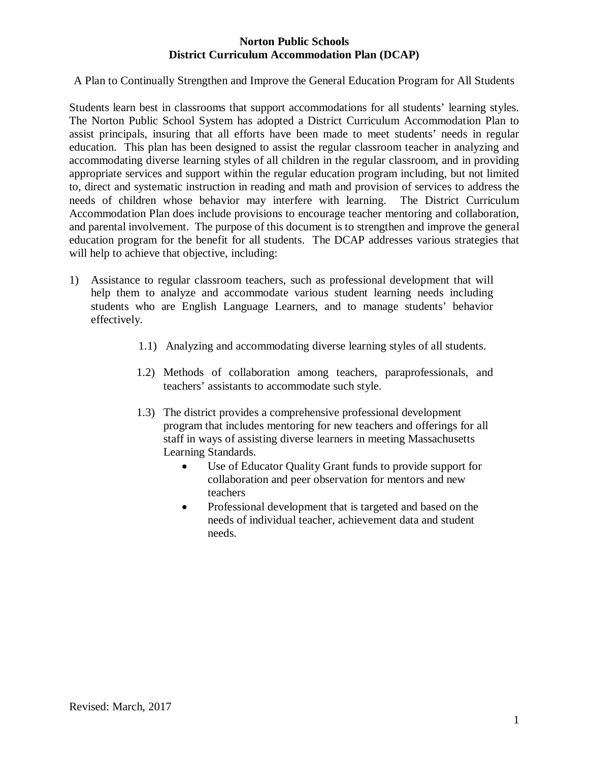#### **Norton Public Schools District Curriculum Accommodation Plan (DCAP)**

A Plan to Continually Strengthen and Improve the General Education Program for All Students

Students learn best in classrooms that support accommodations for all students' learning styles. The Norton Public School System has adopted a District Curriculum Accommodation Plan to assist principals, insuring that all efforts have been made to meet students' needs in regular education. This plan has been designed to assist the regular classroom teacher in analyzing and accommodating diverse learning styles of all children in the regular classroom, and in providing appropriate services and support within the regular education program including, but not limited to, direct and systematic instruction in reading and math and provision of services to address the needs of children whose behavior may interfere with learning. The District Curriculum Accommodation Plan does include provisions to encourage teacher mentoring and collaboration, and parental involvement. The purpose of this document is to strengthen and improve the general education program for the benefit for all students. The DCAP addresses various strategies that will help to achieve that objective, including:

- 1) Assistance to regular classroom teachers, such as professional development that will help them to analyze and accommodate various student learning needs including students who are English Language Learners, and to manage students' behavior effectively.
	- 1.1) Analyzing and accommodating diverse learning styles of all students.
	- 1.2) Methods of collaboration among teachers, paraprofessionals, and teachers' assistants to accommodate such style.
	- 1.3) The district provides a comprehensive professional development program that includes mentoring for new teachers and offerings for all staff in ways of assisting diverse learners in meeting Massachusetts Learning Standards.
		- Use of Educator Quality Grant funds to provide support for collaboration and peer observation for mentors and new teachers
		- Professional development that is targeted and based on the needs of individual teacher, achievement data and student needs.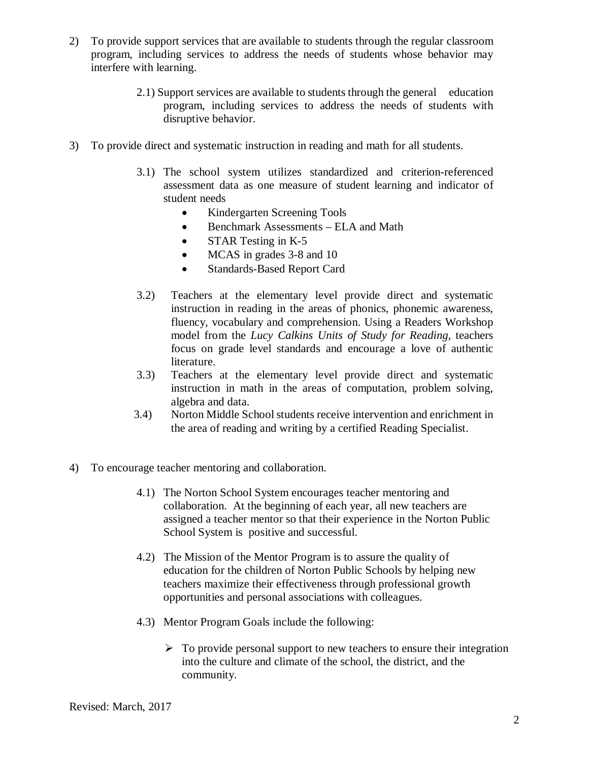- 2) To provide support services that are available to students through the regular classroom program, including services to address the needs of students whose behavior may interfere with learning.
	- 2.1) Support services are available to students through the general education program, including services to address the needs of students with disruptive behavior.
- 3) To provide direct and systematic instruction in reading and math for all students.
	- 3.1) The school system utilizes standardized and criterion-referenced assessment data as one measure of student learning and indicator of student needs
		- Kindergarten Screening Tools
		- Benchmark Assessments ELA and Math
		- STAR Testing in K-5
		- MCAS in grades 3-8 and 10
		- Standards-Based Report Card
	- 3.2) Teachers at the elementary level provide direct and systematic instruction in reading in the areas of phonics, phonemic awareness, fluency, vocabulary and comprehension. Using a Readers Workshop model from the *Lucy Calkins Units of Study for Reading,* teachers focus on grade level standards and encourage a love of authentic literature.
	- 3.3) Teachers at the elementary level provide direct and systematic instruction in math in the areas of computation, problem solving, algebra and data.
	- 3.4) Norton Middle School students receive intervention and enrichment in the area of reading and writing by a certified Reading Specialist.
- 4) To encourage teacher mentoring and collaboration.
	- 4.1) The Norton School System encourages teacher mentoring and collaboration. At the beginning of each year, all new teachers are assigned a teacher mentor so that their experience in the Norton Public School System is positive and successful.
	- 4.2) The Mission of the Mentor Program is to assure the quality of education for the children of Norton Public Schools by helping new teachers maximize their effectiveness through professional growth opportunities and personal associations with colleagues.
	- 4.3) Mentor Program Goals include the following:
		- $\triangleright$  To provide personal support to new teachers to ensure their integration into the culture and climate of the school, the district, and the community.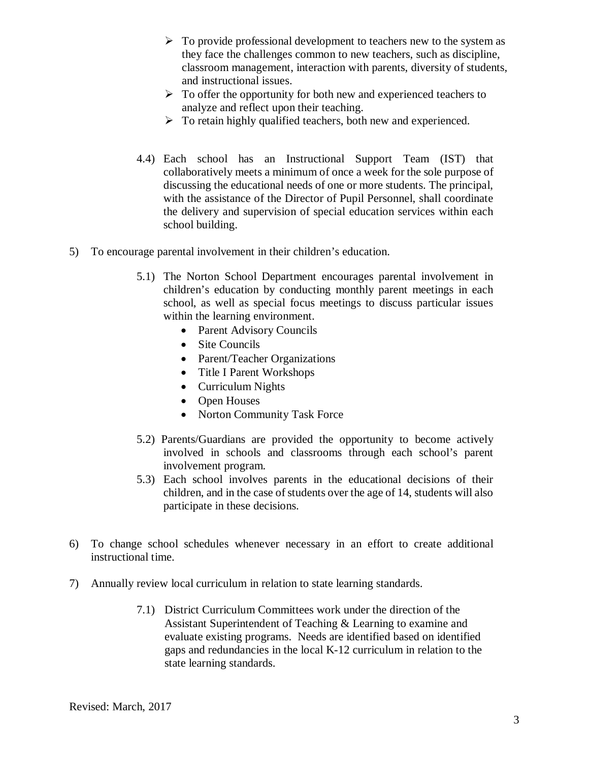- $\triangleright$  To provide professional development to teachers new to the system as they face the challenges common to new teachers, such as discipline, classroom management, interaction with parents, diversity of students, and instructional issues.
- $\triangleright$  To offer the opportunity for both new and experienced teachers to analyze and reflect upon their teaching.
- $\triangleright$  To retain highly qualified teachers, both new and experienced.
- 4.4) Each school has an Instructional Support Team (IST) that collaboratively meets a minimum of once a week for the sole purpose of discussing the educational needs of one or more students. The principal, with the assistance of the Director of Pupil Personnel, shall coordinate the delivery and supervision of special education services within each school building.
- 5) To encourage parental involvement in their children's education.
	- 5.1) The Norton School Department encourages parental involvement in children's education by conducting monthly parent meetings in each school, as well as special focus meetings to discuss particular issues within the learning environment.
		- Parent Advisory Councils
		- Site Councils
		- Parent/Teacher Organizations
		- Title I Parent Workshops
		- Curriculum Nights
		- Open Houses
		- Norton Community Task Force
	- 5.2) Parents/Guardians are provided the opportunity to become actively involved in schools and classrooms through each school's parent involvement program.
	- 5.3) Each school involves parents in the educational decisions of their children, and in the case of students over the age of 14, students will also participate in these decisions.
- 6) To change school schedules whenever necessary in an effort to create additional instructional time.
- 7) Annually review local curriculum in relation to state learning standards.
	- 7.1) District Curriculum Committees work under the direction of the Assistant Superintendent of Teaching & Learning to examine and evaluate existing programs. Needs are identified based on identified gaps and redundancies in the local K-12 curriculum in relation to the state learning standards.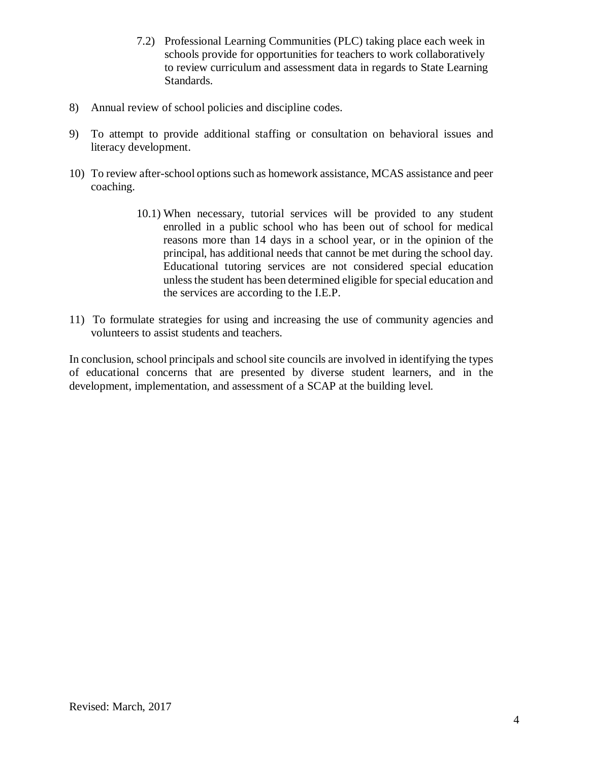- 7.2) Professional Learning Communities (PLC) taking place each week in schools provide for opportunities for teachers to work collaboratively to review curriculum and assessment data in regards to State Learning Standards.
- 8) Annual review of school policies and discipline codes.
- 9) To attempt to provide additional staffing or consultation on behavioral issues and literacy development.
- 10) To review after-school options such as homework assistance, MCAS assistance and peer coaching.
	- 10.1) When necessary, tutorial services will be provided to any student enrolled in a public school who has been out of school for medical reasons more than 14 days in a school year, or in the opinion of the principal, has additional needs that cannot be met during the school day. Educational tutoring services are not considered special education unless the student has been determined eligible for special education and the services are according to the I.E.P.
- 11) To formulate strategies for using and increasing the use of community agencies and volunteers to assist students and teachers.

In conclusion, school principals and school site councils are involved in identifying the types of educational concerns that are presented by diverse student learners, and in the development, implementation, and assessment of a SCAP at the building level.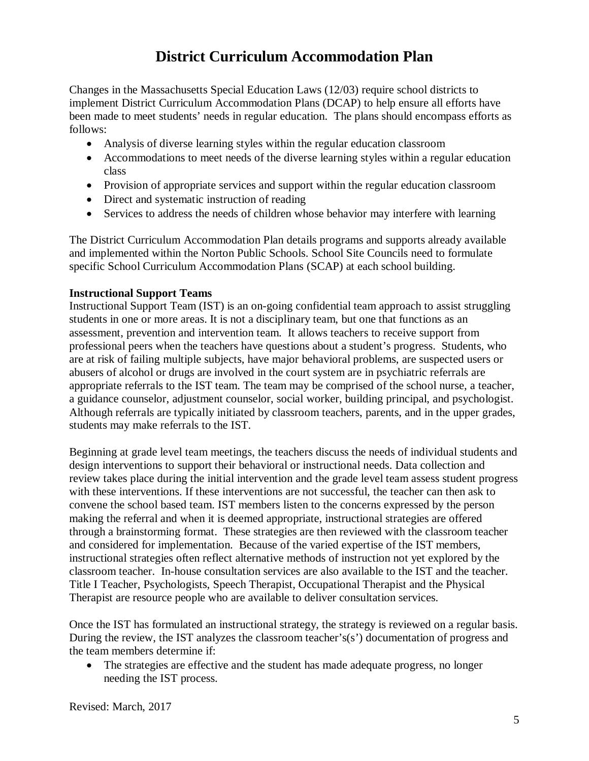## **District Curriculum Accommodation Plan**

Changes in the Massachusetts Special Education Laws (12/03) require school districts to implement District Curriculum Accommodation Plans (DCAP) to help ensure all efforts have been made to meet students' needs in regular education. The plans should encompass efforts as follows:

- Analysis of diverse learning styles within the regular education classroom
- Accommodations to meet needs of the diverse learning styles within a regular education class
- Provision of appropriate services and support within the regular education classroom
- Direct and systematic instruction of reading
- Services to address the needs of children whose behavior may interfere with learning

The District Curriculum Accommodation Plan details programs and supports already available and implemented within the Norton Public Schools. School Site Councils need to formulate specific School Curriculum Accommodation Plans (SCAP) at each school building.

#### **Instructional Support Teams**

Instructional Support Team (IST) is an on-going confidential team approach to assist struggling students in one or more areas. It is not a disciplinary team, but one that functions as an assessment, prevention and intervention team. It allows teachers to receive support from professional peers when the teachers have questions about a student's progress. Students, who are at risk of failing multiple subjects, have major behavioral problems, are suspected users or abusers of alcohol or drugs are involved in the court system are in psychiatric referrals are appropriate referrals to the IST team. The team may be comprised of the school nurse, a teacher, a guidance counselor, adjustment counselor, social worker, building principal, and psychologist. Although referrals are typically initiated by classroom teachers, parents, and in the upper grades, students may make referrals to the IST.

Beginning at grade level team meetings, the teachers discuss the needs of individual students and design interventions to support their behavioral or instructional needs. Data collection and review takes place during the initial intervention and the grade level team assess student progress with these interventions. If these interventions are not successful, the teacher can then ask to convene the school based team. IST members listen to the concerns expressed by the person making the referral and when it is deemed appropriate, instructional strategies are offered through a brainstorming format. These strategies are then reviewed with the classroom teacher and considered for implementation. Because of the varied expertise of the IST members, instructional strategies often reflect alternative methods of instruction not yet explored by the classroom teacher. In-house consultation services are also available to the IST and the teacher. Title I Teacher, Psychologists, Speech Therapist, Occupational Therapist and the Physical Therapist are resource people who are available to deliver consultation services.

Once the IST has formulated an instructional strategy, the strategy is reviewed on a regular basis. During the review, the IST analyzes the classroom teacher's(s') documentation of progress and the team members determine if:

• The strategies are effective and the student has made adequate progress, no longer needing the IST process.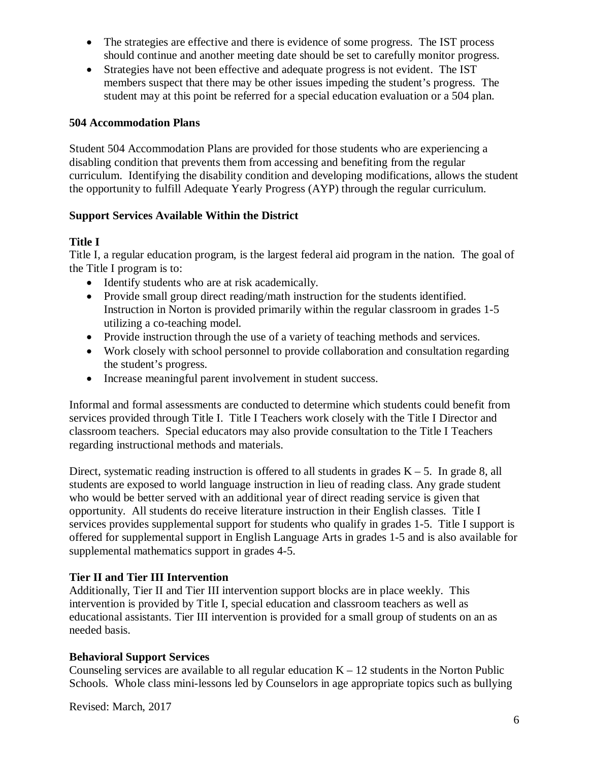- The strategies are effective and there is evidence of some progress. The IST process should continue and another meeting date should be set to carefully monitor progress.
- Strategies have not been effective and adequate progress is not evident. The IST members suspect that there may be other issues impeding the student's progress. The student may at this point be referred for a special education evaluation or a 504 plan.

#### **504 Accommodation Plans**

Student 504 Accommodation Plans are provided for those students who are experiencing a disabling condition that prevents them from accessing and benefiting from the regular curriculum. Identifying the disability condition and developing modifications, allows the student the opportunity to fulfill Adequate Yearly Progress (AYP) through the regular curriculum.

#### **Support Services Available Within the District**

#### **Title I**

Title I, a regular education program, is the largest federal aid program in the nation. The goal of the Title I program is to:

- Identify students who are at risk academically.
- Provide small group direct reading/math instruction for the students identified. Instruction in Norton is provided primarily within the regular classroom in grades 1-5 utilizing a co-teaching model.
- Provide instruction through the use of a variety of teaching methods and services.
- Work closely with school personnel to provide collaboration and consultation regarding the student's progress.
- Increase meaningful parent involvement in student success.

Informal and formal assessments are conducted to determine which students could benefit from services provided through Title I. Title I Teachers work closely with the Title I Director and classroom teachers. Special educators may also provide consultation to the Title I Teachers regarding instructional methods and materials.

Direct, systematic reading instruction is offered to all students in grades  $K - 5$ . In grade 8, all students are exposed to world language instruction in lieu of reading class. Any grade student who would be better served with an additional year of direct reading service is given that opportunity. All students do receive literature instruction in their English classes. Title I services provides supplemental support for students who qualify in grades 1-5. Title I support is offered for supplemental support in English Language Arts in grades 1-5 and is also available for supplemental mathematics support in grades 4-5.

#### **Tier II and Tier III Intervention**

Additionally, Tier II and Tier III intervention support blocks are in place weekly. This intervention is provided by Title I, special education and classroom teachers as well as educational assistants. Tier III intervention is provided for a small group of students on an as needed basis.

#### **Behavioral Support Services**

Counseling services are available to all regular education  $K - 12$  students in the Norton Public Schools. Whole class mini-lessons led by Counselors in age appropriate topics such as bullying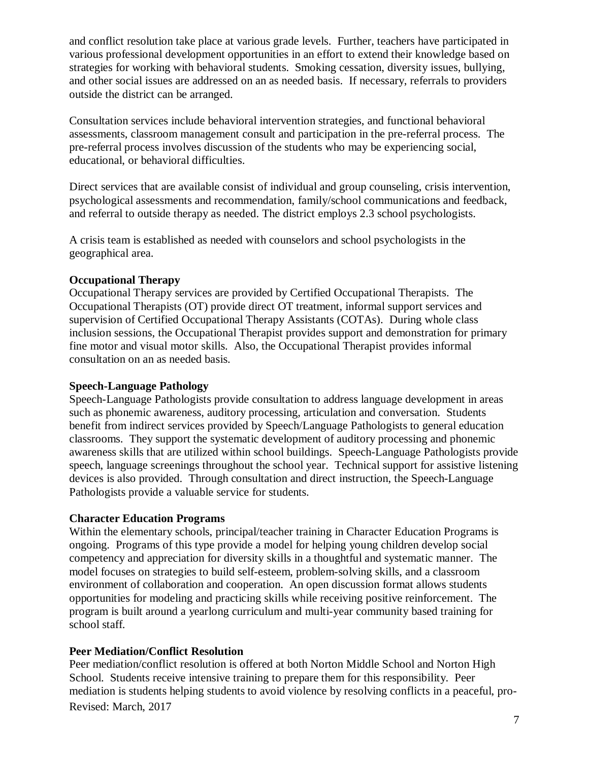and conflict resolution take place at various grade levels. Further, teachers have participated in various professional development opportunities in an effort to extend their knowledge based on strategies for working with behavioral students. Smoking cessation, diversity issues, bullying, and other social issues are addressed on an as needed basis. If necessary, referrals to providers outside the district can be arranged.

Consultation services include behavioral intervention strategies, and functional behavioral assessments, classroom management consult and participation in the pre-referral process. The pre-referral process involves discussion of the students who may be experiencing social, educational, or behavioral difficulties.

Direct services that are available consist of individual and group counseling, crisis intervention, psychological assessments and recommendation, family/school communications and feedback, and referral to outside therapy as needed. The district employs 2.3 school psychologists.

A crisis team is established as needed with counselors and school psychologists in the geographical area.

#### **Occupational Therapy**

Occupational Therapy services are provided by Certified Occupational Therapists. The Occupational Therapists (OT) provide direct OT treatment, informal support services and supervision of Certified Occupational Therapy Assistants (COTAs). During whole class inclusion sessions, the Occupational Therapist provides support and demonstration for primary fine motor and visual motor skills. Also, the Occupational Therapist provides informal consultation on an as needed basis.

#### **Speech-Language Pathology**

Speech-Language Pathologists provide consultation to address language development in areas such as phonemic awareness, auditory processing, articulation and conversation. Students benefit from indirect services provided by Speech/Language Pathologists to general education classrooms. They support the systematic development of auditory processing and phonemic awareness skills that are utilized within school buildings. Speech-Language Pathologists provide speech, language screenings throughout the school year. Technical support for assistive listening devices is also provided. Through consultation and direct instruction, the Speech-Language Pathologists provide a valuable service for students.

#### **Character Education Programs**

Within the elementary schools, principal/teacher training in Character Education Programs is ongoing. Programs of this type provide a model for helping young children develop social competency and appreciation for diversity skills in a thoughtful and systematic manner. The model focuses on strategies to build self-esteem, problem-solving skills, and a classroom environment of collaboration and cooperation. An open discussion format allows students opportunities for modeling and practicing skills while receiving positive reinforcement. The program is built around a yearlong curriculum and multi-year community based training for school staff.

#### **Peer Mediation/Conflict Resolution**

Revised: March, 2017 Peer mediation/conflict resolution is offered at both Norton Middle School and Norton High School. Students receive intensive training to prepare them for this responsibility. Peer mediation is students helping students to avoid violence by resolving conflicts in a peaceful, pro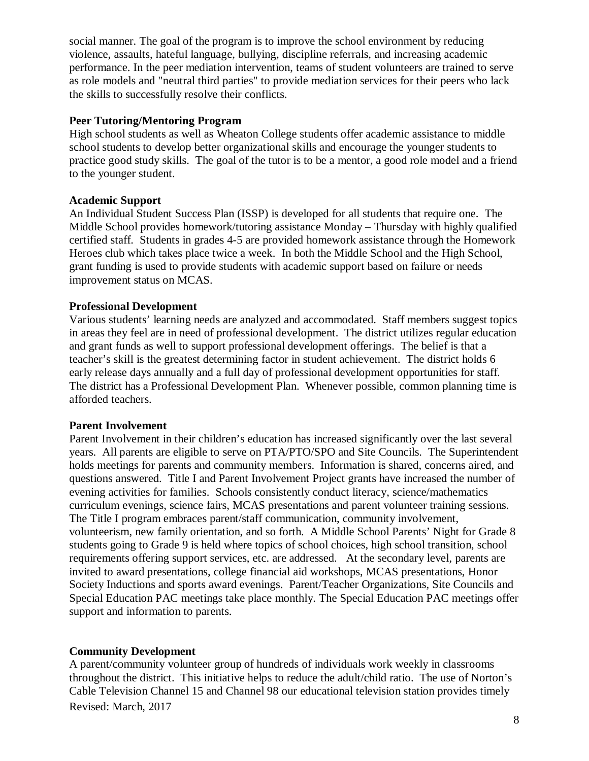social manner. The goal of the program is to improve the school environment by reducing violence, assaults, hateful language, bullying, discipline referrals, and increasing academic performance. In the peer mediation intervention, teams of student volunteers are trained to serve as role models and "neutral third parties" to provide mediation services for their peers who lack the skills to successfully resolve their conflicts.

#### **Peer Tutoring/Mentoring Program**

High school students as well as Wheaton College students offer academic assistance to middle school students to develop better organizational skills and encourage the younger students to practice good study skills. The goal of the tutor is to be a mentor, a good role model and a friend to the younger student.

#### **Academic Support**

An Individual Student Success Plan (ISSP) is developed for all students that require one. The Middle School provides homework/tutoring assistance Monday – Thursday with highly qualified certified staff. Students in grades 4-5 are provided homework assistance through the Homework Heroes club which takes place twice a week. In both the Middle School and the High School, grant funding is used to provide students with academic support based on failure or needs improvement status on MCAS.

#### **Professional Development**

Various students' learning needs are analyzed and accommodated. Staff members suggest topics in areas they feel are in need of professional development. The district utilizes regular education and grant funds as well to support professional development offerings. The belief is that a teacher's skill is the greatest determining factor in student achievement. The district holds 6 early release days annually and a full day of professional development opportunities for staff. The district has a Professional Development Plan. Whenever possible, common planning time is afforded teachers.

#### **Parent Involvement**

Parent Involvement in their children's education has increased significantly over the last several years. All parents are eligible to serve on PTA/PTO/SPO and Site Councils. The Superintendent holds meetings for parents and community members. Information is shared, concerns aired, and questions answered. Title I and Parent Involvement Project grants have increased the number of evening activities for families. Schools consistently conduct literacy, science/mathematics curriculum evenings, science fairs, MCAS presentations and parent volunteer training sessions. The Title I program embraces parent/staff communication, community involvement, volunteerism, new family orientation, and so forth. A Middle School Parents' Night for Grade 8 students going to Grade 9 is held where topics of school choices, high school transition, school requirements offering support services, etc. are addressed. At the secondary level, parents are invited to award presentations, college financial aid workshops, MCAS presentations, Honor Society Inductions and sports award evenings. Parent/Teacher Organizations, Site Councils and Special Education PAC meetings take place monthly. The Special Education PAC meetings offer support and information to parents.

#### **Community Development**

Revised: March, 2017 A parent/community volunteer group of hundreds of individuals work weekly in classrooms throughout the district. This initiative helps to reduce the adult/child ratio. The use of Norton's Cable Television Channel 15 and Channel 98 our educational television station provides timely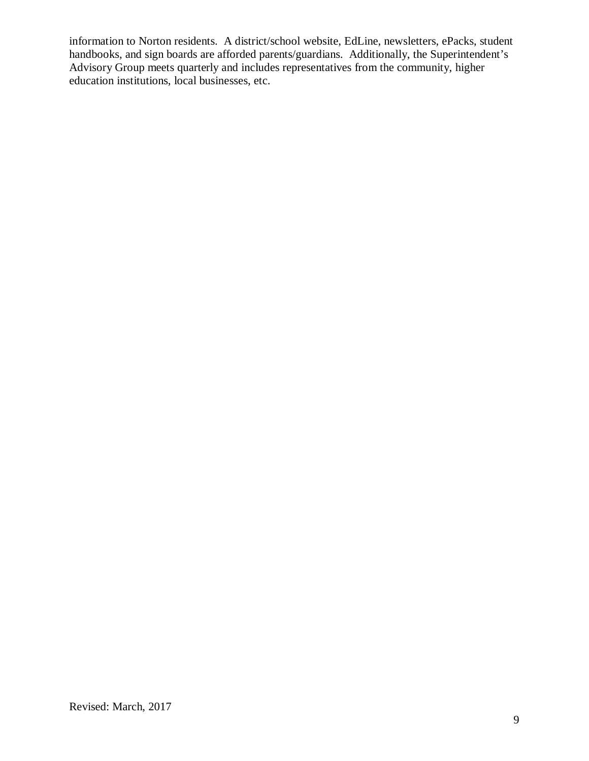information to Norton residents. A district/school website, EdLine, newsletters, ePacks, student handbooks, and sign boards are afforded parents/guardians. Additionally, the Superintendent's Advisory Group meets quarterly and includes representatives from the community, higher education institutions, local businesses, etc.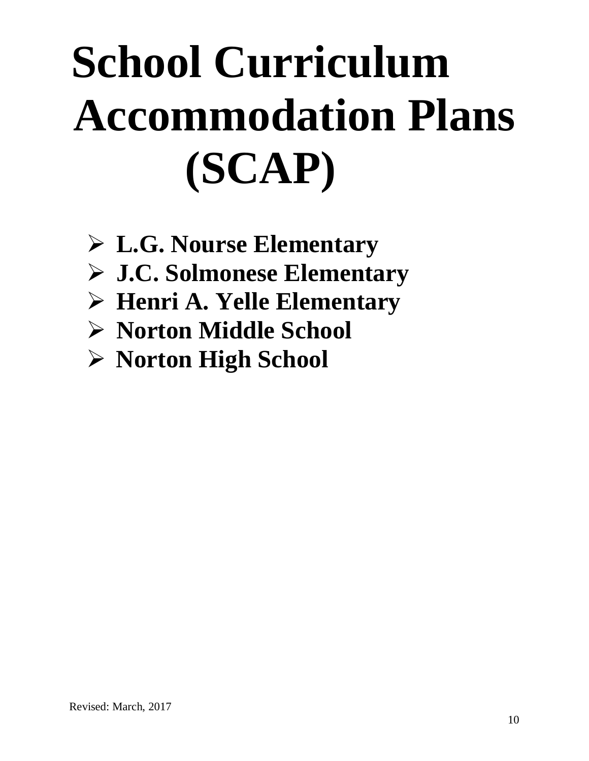# **School Curriculum Accommodation Plans (SCAP)**

- **L.G. Nourse Elementary**
- **J.C. Solmonese Elementary**
- **Henri A. Yelle Elementary**
- **Norton Middle School**
- **Norton High School**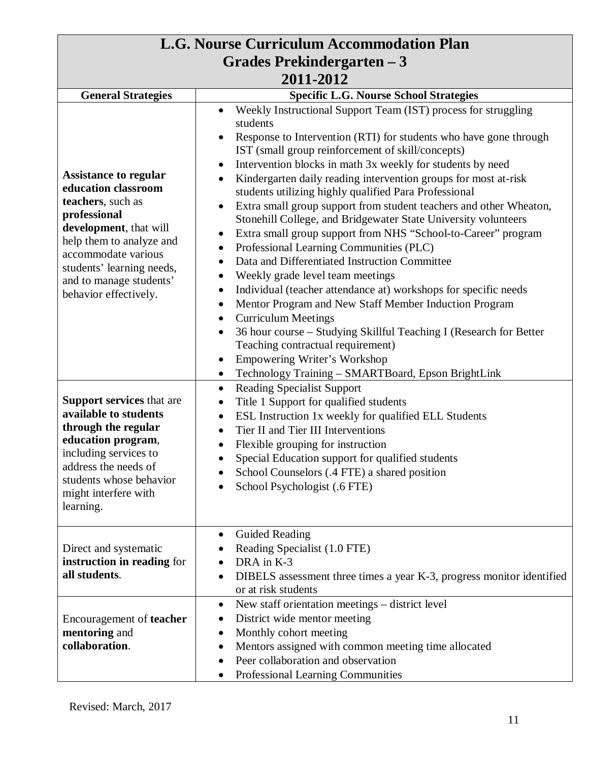| L.G. Nourse Curriculum Accommodation Plan                                                                                                                                                                                                              |                                                                                                                                                                                                                                                                                                                                                                                                                                                                                                                                                                                                                                                                                                                                                                                                                                                                                                                                                                                                                                                                                                                                                        |  |
|--------------------------------------------------------------------------------------------------------------------------------------------------------------------------------------------------------------------------------------------------------|--------------------------------------------------------------------------------------------------------------------------------------------------------------------------------------------------------------------------------------------------------------------------------------------------------------------------------------------------------------------------------------------------------------------------------------------------------------------------------------------------------------------------------------------------------------------------------------------------------------------------------------------------------------------------------------------------------------------------------------------------------------------------------------------------------------------------------------------------------------------------------------------------------------------------------------------------------------------------------------------------------------------------------------------------------------------------------------------------------------------------------------------------------|--|
| Grades Prekindergarten – 3                                                                                                                                                                                                                             |                                                                                                                                                                                                                                                                                                                                                                                                                                                                                                                                                                                                                                                                                                                                                                                                                                                                                                                                                                                                                                                                                                                                                        |  |
| 2011-2012                                                                                                                                                                                                                                              |                                                                                                                                                                                                                                                                                                                                                                                                                                                                                                                                                                                                                                                                                                                                                                                                                                                                                                                                                                                                                                                                                                                                                        |  |
| <b>General Strategies</b>                                                                                                                                                                                                                              | <b>Specific L.G. Nourse School Strategies</b>                                                                                                                                                                                                                                                                                                                                                                                                                                                                                                                                                                                                                                                                                                                                                                                                                                                                                                                                                                                                                                                                                                          |  |
| <b>Assistance to regular</b><br>education classroom<br>teachers, such as<br>professional<br>development, that will<br>help them to analyze and<br>accommodate various<br>students' learning needs,<br>and to manage students'<br>behavior effectively. | Weekly Instructional Support Team (IST) process for struggling<br>$\bullet$<br>students<br>Response to Intervention (RTI) for students who have gone through<br>IST (small group reinforcement of skill/concepts)<br>Intervention blocks in math 3x weekly for students by need<br>Kindergarten daily reading intervention groups for most at-risk<br>students utilizing highly qualified Para Professional<br>Extra small group support from student teachers and other Wheaton,<br>Stonehill College, and Bridgewater State University volunteers<br>Extra small group support from NHS "School-to-Career" program<br>Professional Learning Communities (PLC)<br>Data and Differentiated Instruction Committee<br>Weekly grade level team meetings<br>Individual (teacher attendance at) workshops for specific needs<br>$\bullet$<br>Mentor Program and New Staff Member Induction Program<br><b>Curriculum Meetings</b><br>$\bullet$<br>36 hour course - Studying Skillful Teaching I (Research for Better<br>Teaching contractual requirement)<br>Empowering Writer's Workshop<br>$\bullet$<br>Technology Training - SMARTBoard, Epson BrightLink |  |
| <b>Support services that are</b><br>available to students<br>through the regular<br>education program,<br>including services to<br>address the needs of<br>students whose behavior<br>might interfere with<br>learning.                                | <b>Reading Specialist Support</b><br>$\bullet$<br>Title 1 Support for qualified students<br>$\bullet$<br>ESL Instruction 1x weekly for qualified ELL Students<br>$\bullet$<br>Tier II and Tier III Interventions<br>Flexible grouping for instruction<br>Special Education support for qualified students<br>School Counselors (.4 FTE) a shared position<br>School Psychologist (.6 FTE)                                                                                                                                                                                                                                                                                                                                                                                                                                                                                                                                                                                                                                                                                                                                                              |  |
| Direct and systematic<br>instruction in reading for<br>all students.                                                                                                                                                                                   | Guided Reading<br>Reading Specialist (1.0 FTE)<br>DRA in K-3<br>DIBELS assessment three times a year K-3, progress monitor identified<br>or at risk students                                                                                                                                                                                                                                                                                                                                                                                                                                                                                                                                                                                                                                                                                                                                                                                                                                                                                                                                                                                           |  |
| Encouragement of <b>teacher</b><br>mentoring and<br>collaboration.                                                                                                                                                                                     | New staff orientation meetings – district level<br>$\bullet$<br>District wide mentor meeting<br>Monthly cohort meeting<br>Mentors assigned with common meeting time allocated<br>Peer collaboration and observation<br>Professional Learning Communities<br>$\bullet$                                                                                                                                                                                                                                                                                                                                                                                                                                                                                                                                                                                                                                                                                                                                                                                                                                                                                  |  |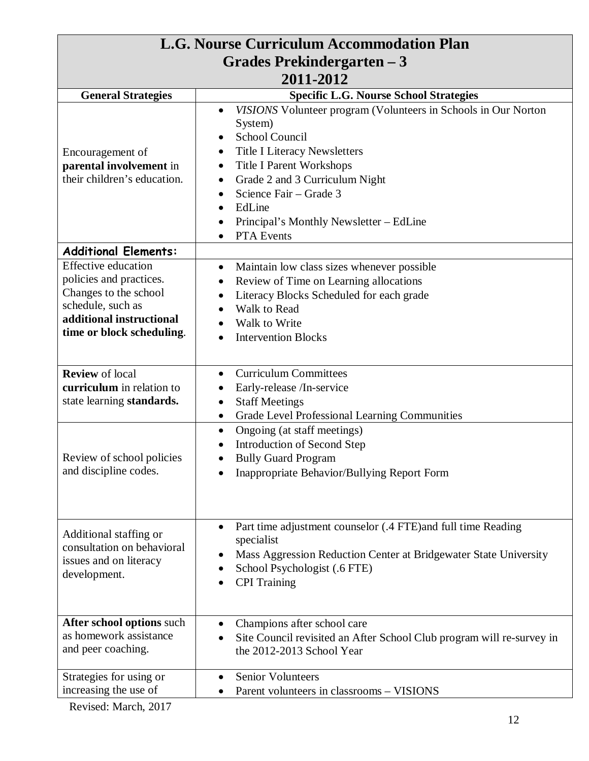| L.G. Nourse Curriculum Accommodation Plan            |                                                                                                    |  |
|------------------------------------------------------|----------------------------------------------------------------------------------------------------|--|
| Grades Prekindergarten – 3                           |                                                                                                    |  |
| 2011-2012                                            |                                                                                                    |  |
| <b>General Strategies</b>                            | <b>Specific L.G. Nourse School Strategies</b>                                                      |  |
|                                                      | VISIONS Volunteer program (Volunteers in Schools in Our Norton<br>$\bullet$                        |  |
|                                                      | System)                                                                                            |  |
|                                                      | School Council                                                                                     |  |
| Encouragement of                                     | <b>Title I Literacy Newsletters</b><br>$\bullet$                                                   |  |
| parental involvement in                              | <b>Title I Parent Workshops</b><br>$\bullet$                                                       |  |
| their children's education.                          | Grade 2 and 3 Curriculum Night<br>$\bullet$                                                        |  |
|                                                      | Science Fair - Grade 3<br>$\bullet$                                                                |  |
|                                                      | EdLine<br>$\bullet$                                                                                |  |
|                                                      | Principal's Monthly Newsletter – EdLine                                                            |  |
|                                                      | PTA Events                                                                                         |  |
| <b>Additional Elements:</b>                          |                                                                                                    |  |
| <b>Effective education</b>                           | Maintain low class sizes whenever possible<br>$\bullet$                                            |  |
| policies and practices.                              | Review of Time on Learning allocations<br>٠                                                        |  |
| Changes to the school                                | Literacy Blocks Scheduled for each grade<br>٠                                                      |  |
| schedule, such as                                    | Walk to Read                                                                                       |  |
| additional instructional                             | Walk to Write                                                                                      |  |
| time or block scheduling.                            | <b>Intervention Blocks</b>                                                                         |  |
|                                                      |                                                                                                    |  |
| <b>Review</b> of local                               | <b>Curriculum Committees</b><br>$\bullet$                                                          |  |
| curriculum in relation to                            | Early-release /In-service<br>$\bullet$                                                             |  |
| state learning standards.                            | <b>Staff Meetings</b><br>$\bullet$                                                                 |  |
|                                                      | Grade Level Professional Learning Communities<br>$\bullet$                                         |  |
|                                                      | Ongoing (at staff meetings)<br>$\bullet$                                                           |  |
|                                                      | Introduction of Second Step                                                                        |  |
| Review of school policies                            | <b>Bully Guard Program</b>                                                                         |  |
| and discipline codes.                                | Inappropriate Behavior/Bullying Report Form                                                        |  |
|                                                      |                                                                                                    |  |
|                                                      |                                                                                                    |  |
|                                                      |                                                                                                    |  |
|                                                      | Part time adjustment counselor (.4 FTE) and full time Reading                                      |  |
| Additional staffing or<br>consultation on behavioral | specialist                                                                                         |  |
| issues and on literacy                               | Mass Aggression Reduction Center at Bridgewater State University                                   |  |
| development.                                         | School Psychologist (.6 FTE)                                                                       |  |
|                                                      | <b>CPI</b> Training                                                                                |  |
|                                                      |                                                                                                    |  |
| After school options such                            |                                                                                                    |  |
| as homework assistance                               | Champions after school care                                                                        |  |
| and peer coaching.                                   | Site Council revisited an After School Club program will re-survey in<br>the 2012-2013 School Year |  |
|                                                      |                                                                                                    |  |
| Strategies for using or                              | <b>Senior Volunteers</b>                                                                           |  |
| increasing the use of                                | Parent volunteers in classrooms - VISIONS                                                          |  |
|                                                      |                                                                                                    |  |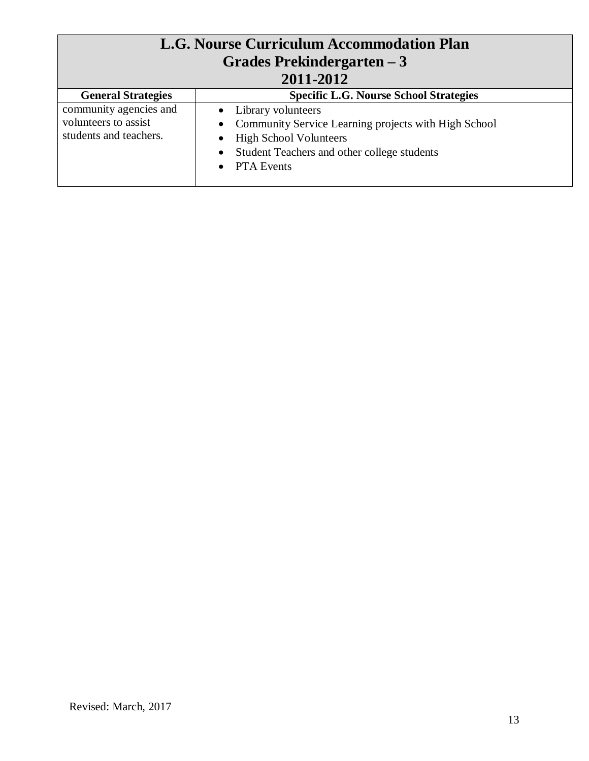| L.G. Nourse Curriculum Accommodation Plan<br>Grades Prekindergarten – 3<br>2011-2012 |                                                                                                                                                                                        |
|--------------------------------------------------------------------------------------|----------------------------------------------------------------------------------------------------------------------------------------------------------------------------------------|
| <b>General Strategies</b>                                                            | <b>Specific L.G. Nourse School Strategies</b>                                                                                                                                          |
| community agencies and<br>volunteers to assist<br>students and teachers.             | • Library volunteers<br>Community Service Learning projects with High School<br>$\bullet$<br>• High School Volunteers<br>• Student Teachers and other college students<br>• PTA Events |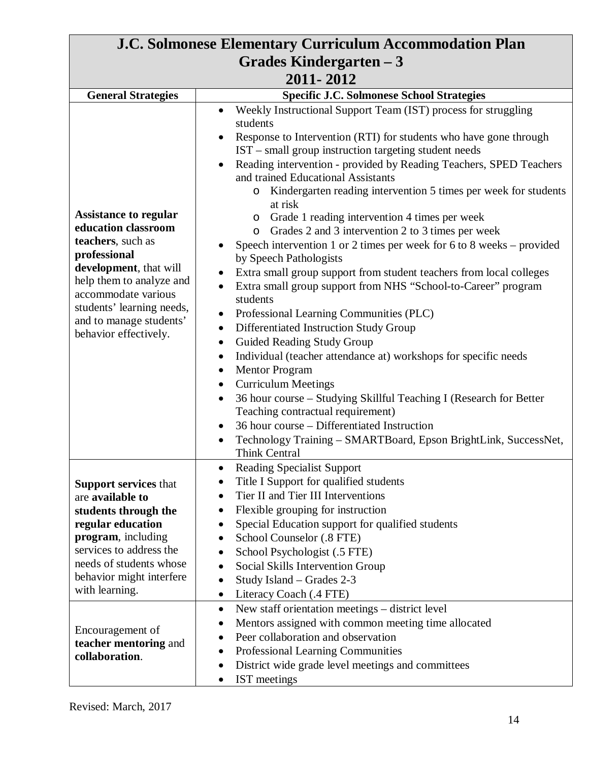| <b>J.C. Solmonese Elementary Curriculum Accommodation Plan</b>                                                                                                                                                                                                                      |                                                                                                                                                                                                                                                                                                                                                                                                                                                                                                                                                                                                                                                                                                                                                                                                                                                                                                                                                                                                                                                                                                                                                                                                                                                                                                                                                                                                                          |
|-------------------------------------------------------------------------------------------------------------------------------------------------------------------------------------------------------------------------------------------------------------------------------------|--------------------------------------------------------------------------------------------------------------------------------------------------------------------------------------------------------------------------------------------------------------------------------------------------------------------------------------------------------------------------------------------------------------------------------------------------------------------------------------------------------------------------------------------------------------------------------------------------------------------------------------------------------------------------------------------------------------------------------------------------------------------------------------------------------------------------------------------------------------------------------------------------------------------------------------------------------------------------------------------------------------------------------------------------------------------------------------------------------------------------------------------------------------------------------------------------------------------------------------------------------------------------------------------------------------------------------------------------------------------------------------------------------------------------|
| Grades Kindergarten – 3                                                                                                                                                                                                                                                             |                                                                                                                                                                                                                                                                                                                                                                                                                                                                                                                                                                                                                                                                                                                                                                                                                                                                                                                                                                                                                                                                                                                                                                                                                                                                                                                                                                                                                          |
| 2011-2012                                                                                                                                                                                                                                                                           |                                                                                                                                                                                                                                                                                                                                                                                                                                                                                                                                                                                                                                                                                                                                                                                                                                                                                                                                                                                                                                                                                                                                                                                                                                                                                                                                                                                                                          |
|                                                                                                                                                                                                                                                                                     |                                                                                                                                                                                                                                                                                                                                                                                                                                                                                                                                                                                                                                                                                                                                                                                                                                                                                                                                                                                                                                                                                                                                                                                                                                                                                                                                                                                                                          |
| <b>General Strategies</b><br><b>Assistance to regular</b><br>education classroom<br>teachers, such as<br>professional<br>development, that will<br>help them to analyze and<br>accommodate various<br>students' learning needs,<br>and to manage students'<br>behavior effectively. | <b>Specific J.C. Solmonese School Strategies</b><br>Weekly Instructional Support Team (IST) process for struggling<br>$\bullet$<br>students<br>Response to Intervention (RTI) for students who have gone through<br>IST – small group instruction targeting student needs<br>Reading intervention - provided by Reading Teachers, SPED Teachers<br>$\bullet$<br>and trained Educational Assistants<br>Kindergarten reading intervention 5 times per week for students<br>O<br>at risk<br>Grade 1 reading intervention 4 times per week<br>$\circ$<br>Grades 2 and 3 intervention 2 to 3 times per week<br>$\circ$<br>Speech intervention 1 or 2 times per week for 6 to 8 weeks – provided<br>by Speech Pathologists<br>Extra small group support from student teachers from local colleges<br>Extra small group support from NHS "School-to-Career" program<br>$\bullet$<br>students<br>Professional Learning Communities (PLC)<br>$\bullet$<br>Differentiated Instruction Study Group<br>$\bullet$<br>Guided Reading Study Group<br>$\bullet$<br>Individual (teacher attendance at) workshops for specific needs<br>$\bullet$<br><b>Mentor Program</b><br>٠<br><b>Curriculum Meetings</b><br>36 hour course – Studying Skillful Teaching I (Research for Better<br>Teaching contractual requirement)<br>36 hour course – Differentiated Instruction<br>Technology Training - SMARTBoard, Epson BrightLink, SuccessNet, |
| <b>Support services that</b><br>are available to<br>students through the<br>regular education<br>program, including<br>services to address the<br>needs of students whose<br>behavior might interfere<br>with learning.                                                             | Think Central<br><b>Reading Specialist Support</b><br>Title I Support for qualified students<br>Tier II and Tier III Interventions<br>٠<br>Flexible grouping for instruction<br>$\bullet$<br>Special Education support for qualified students<br>$\bullet$<br>School Counselor (.8 FTE)<br>$\bullet$<br>School Psychologist (.5 FTE)<br>٠<br>Social Skills Intervention Group<br>$\bullet$<br>Study Island - Grades 2-3<br>$\bullet$<br>Literacy Coach (.4 FTE)<br>$\bullet$                                                                                                                                                                                                                                                                                                                                                                                                                                                                                                                                                                                                                                                                                                                                                                                                                                                                                                                                             |
| Encouragement of<br>teacher mentoring and<br>collaboration.                                                                                                                                                                                                                         | New staff orientation meetings - district level<br>$\bullet$<br>Mentors assigned with common meeting time allocated<br>Peer collaboration and observation<br>Professional Learning Communities<br>٠<br>District wide grade level meetings and committees<br>٠<br>IST meetings                                                                                                                                                                                                                                                                                                                                                                                                                                                                                                                                                                                                                                                                                                                                                                                                                                                                                                                                                                                                                                                                                                                                            |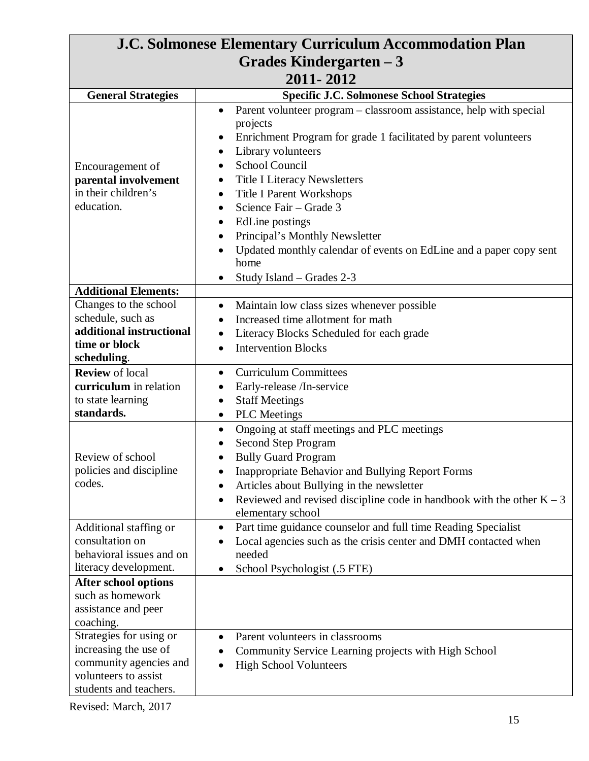| <b>J.C. Solmonese Elementary Curriculum Accommodation Plan</b>                                                               |                                                                                                                                                                                                                                                                                                                                   |
|------------------------------------------------------------------------------------------------------------------------------|-----------------------------------------------------------------------------------------------------------------------------------------------------------------------------------------------------------------------------------------------------------------------------------------------------------------------------------|
| Grades Kindergarten – 3                                                                                                      |                                                                                                                                                                                                                                                                                                                                   |
| 2011-2012                                                                                                                    |                                                                                                                                                                                                                                                                                                                                   |
| <b>General Strategies</b>                                                                                                    | <b>Specific J.C. Solmonese School Strategies</b>                                                                                                                                                                                                                                                                                  |
| Encouragement of                                                                                                             | Parent volunteer program – classroom assistance, help with special<br>$\bullet$<br>projects<br>Enrichment Program for grade 1 facilitated by parent volunteers<br>Library volunteers<br>School Council                                                                                                                            |
| parental involvement<br>in their children's<br>education.                                                                    | <b>Title I Literacy Newsletters</b><br>$\bullet$<br><b>Title I Parent Workshops</b><br>Science Fair - Grade 3<br>EdLine postings<br>Principal's Monthly Newsletter<br>Updated monthly calendar of events on EdLine and a paper copy sent<br>$\bullet$<br>home<br>Study Island – Grades 2-3                                        |
| <b>Additional Elements:</b>                                                                                                  |                                                                                                                                                                                                                                                                                                                                   |
| Changes to the school<br>schedule, such as<br>additional instructional<br>time or block<br>scheduling.                       | Maintain low class sizes whenever possible<br>$\bullet$<br>Increased time allotment for math<br>$\bullet$<br>Literacy Blocks Scheduled for each grade<br>٠<br><b>Intervention Blocks</b><br>$\bullet$                                                                                                                             |
| <b>Review</b> of local<br>curriculum in relation<br>to state learning<br>standards.                                          | <b>Curriculum Committees</b><br>$\bullet$<br>Early-release /In-service<br><b>Staff Meetings</b><br><b>PLC</b> Meetings<br>٠                                                                                                                                                                                                       |
| Review of school<br>policies and discipline<br>codes.                                                                        | Ongoing at staff meetings and PLC meetings<br>$\bullet$<br>Second Step Program<br><b>Bully Guard Program</b><br><b>Inappropriate Behavior and Bullying Report Forms</b><br>Articles about Bullying in the newsletter<br>Reviewed and revised discipline code in handbook with the other $K - 3$<br>$\bullet$<br>elementary school |
| Additional staffing or<br>consultation on<br>behavioral issues and on<br>literacy development.                               | Part time guidance counselor and full time Reading Specialist<br>$\bullet$<br>Local agencies such as the crisis center and DMH contacted when<br>needed<br>School Psychologist (.5 FTE)<br>$\bullet$                                                                                                                              |
| <b>After school options</b><br>such as homework<br>assistance and peer<br>coaching.                                          |                                                                                                                                                                                                                                                                                                                                   |
| Strategies for using or<br>increasing the use of<br>community agencies and<br>volunteers to assist<br>students and teachers. | Parent volunteers in classrooms<br>Community Service Learning projects with High School<br><b>High School Volunteers</b>                                                                                                                                                                                                          |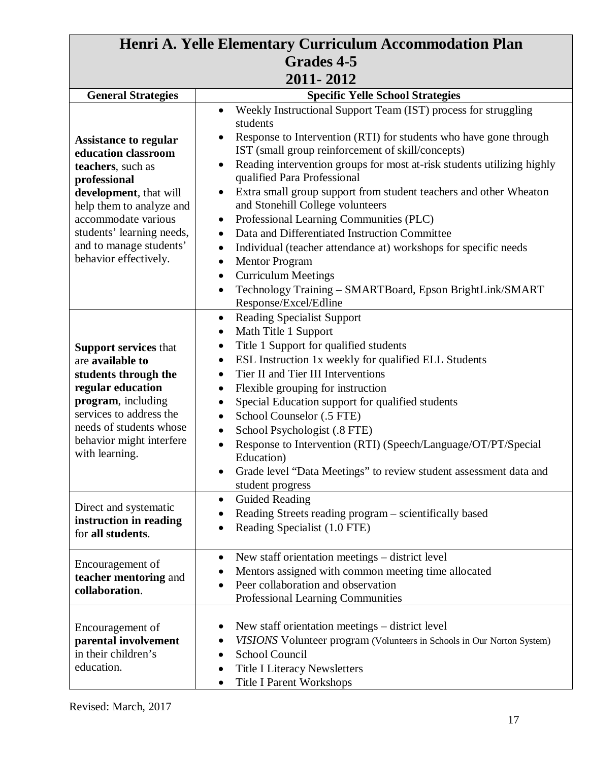| Henri A. Yelle Elementary Curriculum Accommodation Plan                                                                                                                                                                                                |                                                                                                                                                                                                                                                                                                                                                                                                                                                                                                                                                                                                                                                                                                                                                                                                                                                        |
|--------------------------------------------------------------------------------------------------------------------------------------------------------------------------------------------------------------------------------------------------------|--------------------------------------------------------------------------------------------------------------------------------------------------------------------------------------------------------------------------------------------------------------------------------------------------------------------------------------------------------------------------------------------------------------------------------------------------------------------------------------------------------------------------------------------------------------------------------------------------------------------------------------------------------------------------------------------------------------------------------------------------------------------------------------------------------------------------------------------------------|
| <b>Grades 4-5</b>                                                                                                                                                                                                                                      |                                                                                                                                                                                                                                                                                                                                                                                                                                                                                                                                                                                                                                                                                                                                                                                                                                                        |
| 2011-2012                                                                                                                                                                                                                                              |                                                                                                                                                                                                                                                                                                                                                                                                                                                                                                                                                                                                                                                                                                                                                                                                                                                        |
| <b>General Strategies</b>                                                                                                                                                                                                                              | <b>Specific Yelle School Strategies</b>                                                                                                                                                                                                                                                                                                                                                                                                                                                                                                                                                                                                                                                                                                                                                                                                                |
| <b>Assistance to regular</b><br>education classroom<br>teachers, such as<br>professional<br>development, that will<br>help them to analyze and<br>accommodate various<br>students' learning needs,<br>and to manage students'<br>behavior effectively. | Weekly Instructional Support Team (IST) process for struggling<br>$\bullet$<br>students<br>Response to Intervention (RTI) for students who have gone through<br>IST (small group reinforcement of skill/concepts)<br>Reading intervention groups for most at-risk students utilizing highly<br>$\bullet$<br>qualified Para Professional<br>Extra small group support from student teachers and other Wheaton<br>$\bullet$<br>and Stonehill College volunteers<br>Professional Learning Communities (PLC)<br>$\bullet$<br>Data and Differentiated Instruction Committee<br>$\bullet$<br>Individual (teacher attendance at) workshops for specific needs<br>$\bullet$<br><b>Mentor Program</b><br>$\bullet$<br><b>Curriculum Meetings</b><br>$\bullet$<br>Technology Training - SMARTBoard, Epson BrightLink/SMART<br>$\bullet$<br>Response/Excel/Edline |
| <b>Support services that</b><br>are available to<br>students through the<br>regular education<br>program, including<br>services to address the<br>needs of students whose<br>behavior might interfere<br>with learning.                                | <b>Reading Specialist Support</b><br>$\bullet$<br>Math Title 1 Support<br>٠<br>Title 1 Support for qualified students<br>٠<br>ESL Instruction 1x weekly for qualified ELL Students<br>٠<br>Tier II and Tier III Interventions<br>$\bullet$<br>Flexible grouping for instruction<br>$\bullet$<br>Special Education support for qualified students<br>$\bullet$<br>School Counselor (.5 FTE)<br>$\bullet$<br>School Psychologist (.8 FTE)<br>$\bullet$<br>Response to Intervention (RTI) (Speech/Language/OT/PT/Special<br>$\bullet$<br>Education)<br>Grade level "Data Meetings" to review student assessment data and<br>student progress                                                                                                                                                                                                              |
| Direct and systematic<br>instruction in reading<br>for all students.                                                                                                                                                                                   | <b>Guided Reading</b><br>$\bullet$<br>Reading Streets reading program – scientifically based<br>Reading Specialist (1.0 FTE)                                                                                                                                                                                                                                                                                                                                                                                                                                                                                                                                                                                                                                                                                                                           |
| Encouragement of<br>teacher mentoring and<br>collaboration.                                                                                                                                                                                            | New staff orientation meetings - district level<br>$\bullet$<br>Mentors assigned with common meeting time allocated<br>Peer collaboration and observation<br>Professional Learning Communities                                                                                                                                                                                                                                                                                                                                                                                                                                                                                                                                                                                                                                                         |
| Encouragement of<br>parental involvement<br>in their children's<br>education.                                                                                                                                                                          | New staff orientation meetings – district level<br>VISIONS Volunteer program (Volunteers in Schools in Our Norton System)<br>School Council<br><b>Title I Literacy Newsletters</b><br><b>Title I Parent Workshops</b>                                                                                                                                                                                                                                                                                                                                                                                                                                                                                                                                                                                                                                  |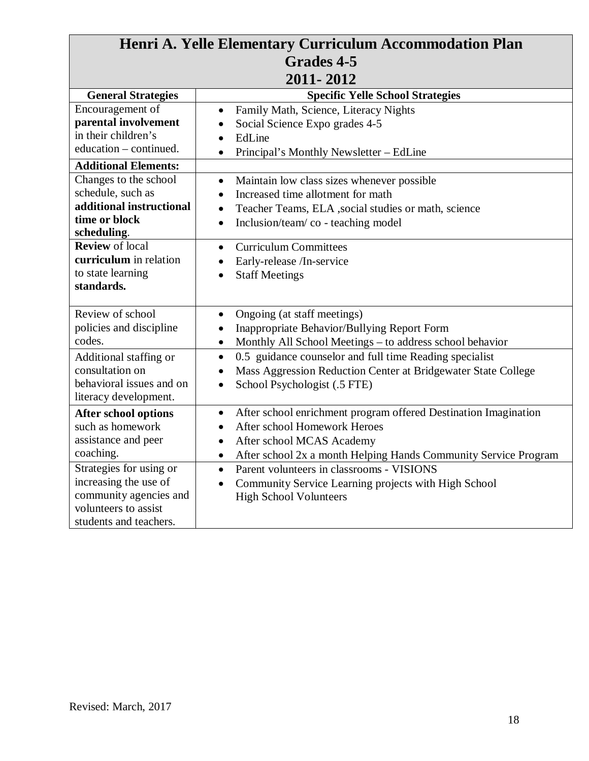| Henri A. Yelle Elementary Curriculum Accommodation Plan                                                                                                                                                                                                                                                                   |                                                                                                                                                                                                                                                                                                                                                                                                                                                                                                             |  |
|---------------------------------------------------------------------------------------------------------------------------------------------------------------------------------------------------------------------------------------------------------------------------------------------------------------------------|-------------------------------------------------------------------------------------------------------------------------------------------------------------------------------------------------------------------------------------------------------------------------------------------------------------------------------------------------------------------------------------------------------------------------------------------------------------------------------------------------------------|--|
| <b>Grades 4-5</b>                                                                                                                                                                                                                                                                                                         |                                                                                                                                                                                                                                                                                                                                                                                                                                                                                                             |  |
| 2011-2012                                                                                                                                                                                                                                                                                                                 |                                                                                                                                                                                                                                                                                                                                                                                                                                                                                                             |  |
| <b>General Strategies</b>                                                                                                                                                                                                                                                                                                 | <b>Specific Yelle School Strategies</b>                                                                                                                                                                                                                                                                                                                                                                                                                                                                     |  |
| Encouragement of<br>parental involvement<br>in their children's<br>education – continued.<br><b>Additional Elements:</b><br>Changes to the school<br>schedule, such as<br>additional instructional<br>time or block<br>scheduling.<br><b>Review</b> of local<br>curriculum in relation<br>to state learning<br>standards. | Family Math, Science, Literacy Nights<br>$\bullet$<br>Social Science Expo grades 4-5<br>EdLine<br>$\bullet$<br>Principal's Monthly Newsletter - EdLine<br>$\bullet$<br>Maintain low class sizes whenever possible<br>$\bullet$<br>Increased time allotment for math<br>Teacher Teams, ELA , social studies or math, science<br>$\bullet$<br>Inclusion/team/co - teaching model<br>$\bullet$<br><b>Curriculum Committees</b><br>$\bullet$<br>Early-release /In-service<br><b>Staff Meetings</b><br>$\bullet$ |  |
| Review of school<br>policies and discipline<br>codes.<br>Additional staffing or<br>consultation on<br>behavioral issues and on<br>literacy development.                                                                                                                                                                   | Ongoing (at staff meetings)<br>$\bullet$<br>Inappropriate Behavior/Bullying Report Form<br>Monthly All School Meetings - to address school behavior<br>$\bullet$<br>0.5 guidance counselor and full time Reading specialist<br>$\bullet$<br>Mass Aggression Reduction Center at Bridgewater State College<br>School Psychologist (.5 FTE)<br>$\bullet$                                                                                                                                                      |  |
| <b>After school options</b><br>such as homework<br>assistance and peer<br>coaching.<br>Strategies for using or<br>increasing the use of<br>community agencies and<br>volunteers to assist<br>students and teachers.                                                                                                       | After school enrichment program offered Destination Imagination<br>$\bullet$<br>After school Homework Heroes<br>After school MCAS Academy<br>After school 2x a month Helping Hands Community Service Program<br>$\bullet$<br>Parent volunteers in classrooms - VISIONS<br>$\bullet$<br>Community Service Learning projects with High School<br>$\bullet$<br><b>High School Volunteers</b>                                                                                                                   |  |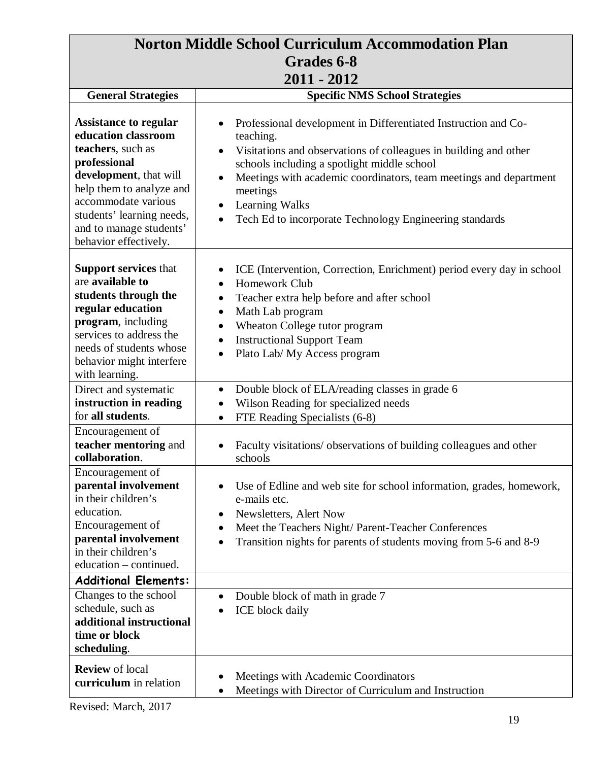| <b>Norton Middle School Curriculum Accommodation Plan</b>                                                                                                                                                                                              |                                                                                                                                                                                                                                                                                                                                                                                                                  |
|--------------------------------------------------------------------------------------------------------------------------------------------------------------------------------------------------------------------------------------------------------|------------------------------------------------------------------------------------------------------------------------------------------------------------------------------------------------------------------------------------------------------------------------------------------------------------------------------------------------------------------------------------------------------------------|
| Grades 6-8                                                                                                                                                                                                                                             |                                                                                                                                                                                                                                                                                                                                                                                                                  |
| 2011 - 2012                                                                                                                                                                                                                                            |                                                                                                                                                                                                                                                                                                                                                                                                                  |
| <b>General Strategies</b>                                                                                                                                                                                                                              | <b>Specific NMS School Strategies</b>                                                                                                                                                                                                                                                                                                                                                                            |
| <b>Assistance to regular</b><br>education classroom<br>teachers, such as<br>professional<br>development, that will<br>help them to analyze and<br>accommodate various<br>students' learning needs,<br>and to manage students'<br>behavior effectively. | Professional development in Differentiated Instruction and Co-<br>teaching.<br>Visitations and observations of colleagues in building and other<br>$\bullet$<br>schools including a spotlight middle school<br>Meetings with academic coordinators, team meetings and department<br>$\bullet$<br>meetings<br>Learning Walks<br>$\bullet$<br>Tech Ed to incorporate Technology Engineering standards<br>$\bullet$ |
| <b>Support services that</b><br>are available to<br>students through the<br>regular education<br>program, including<br>services to address the<br>needs of students whose<br>behavior might interfere<br>with learning.                                | ICE (Intervention, Correction, Enrichment) period every day in school<br>Homework Club<br>$\bullet$<br>Teacher extra help before and after school<br>$\bullet$<br>Math Lab program<br>$\bullet$<br>Wheaton College tutor program<br>$\bullet$<br><b>Instructional Support Team</b><br>$\bullet$<br>Plato Lab/ My Access program<br>$\bullet$                                                                     |
| Direct and systematic<br>instruction in reading                                                                                                                                                                                                        | Double block of ELA/reading classes in grade 6<br>$\bullet$<br>Wilson Reading for specialized needs<br>$\bullet$                                                                                                                                                                                                                                                                                                 |
| for all students.                                                                                                                                                                                                                                      | FTE Reading Specialists (6-8)<br>$\bullet$                                                                                                                                                                                                                                                                                                                                                                       |
| Encouragement of<br>teacher mentoring and<br>collaboration.                                                                                                                                                                                            | Faculty visitations/observations of building colleagues and other<br>schools                                                                                                                                                                                                                                                                                                                                     |
| Encouragement of<br>parental involvement<br>in their children's<br>education.<br>Encouragement of<br>parental involvement<br>in their children's<br>education – continued.                                                                             | Use of Edline and web site for school information, grades, homework,<br>$\bullet$<br>e-mails etc.<br>Newsletters, Alert Now<br>$\bullet$<br>Meet the Teachers Night/ Parent-Teacher Conferences<br>Transition nights for parents of students moving from 5-6 and 8-9<br>$\bullet$                                                                                                                                |
| <b>Additional Elements:</b>                                                                                                                                                                                                                            |                                                                                                                                                                                                                                                                                                                                                                                                                  |
| Changes to the school<br>schedule, such as<br>additional instructional<br>time or block<br>scheduling.                                                                                                                                                 | Double block of math in grade 7<br>$\bullet$<br>ICE block daily                                                                                                                                                                                                                                                                                                                                                  |
| <b>Review</b> of local<br>curriculum in relation                                                                                                                                                                                                       | Meetings with Academic Coordinators<br>Meetings with Director of Curriculum and Instruction                                                                                                                                                                                                                                                                                                                      |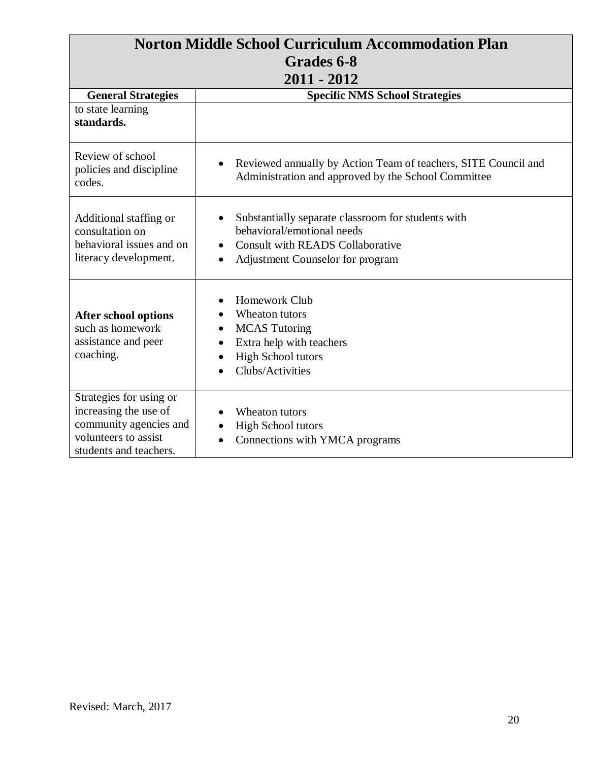| <b>Norton Middle School Curriculum Accommodation Plan</b>                                                                    |                                                                                                                                                                              |
|------------------------------------------------------------------------------------------------------------------------------|------------------------------------------------------------------------------------------------------------------------------------------------------------------------------|
| Grades 6-8<br>$2011 - 2012$                                                                                                  |                                                                                                                                                                              |
|                                                                                                                              |                                                                                                                                                                              |
| to state learning<br>standards.                                                                                              |                                                                                                                                                                              |
| Review of school<br>policies and discipline<br>codes.                                                                        | Reviewed annually by Action Team of teachers, SITE Council and<br>$\bullet$<br>Administration and approved by the School Committee                                           |
| Additional staffing or<br>consultation on<br>behavioral issues and on<br>literacy development.                               | Substantially separate classroom for students with<br>$\bullet$<br>behavioral/emotional needs<br><b>Consult with READS Collaborative</b><br>Adjustment Counselor for program |
| <b>After school options</b><br>such as homework<br>assistance and peer<br>coaching.                                          | Homework Club<br>Wheaton tutors<br><b>MCAS</b> Tutoring<br>Extra help with teachers<br><b>High School tutors</b><br>Clubs/Activities                                         |
| Strategies for using or<br>increasing the use of<br>community agencies and<br>volunteers to assist<br>students and teachers. | Wheaton tutors<br><b>High School tutors</b><br>Connections with YMCA programs                                                                                                |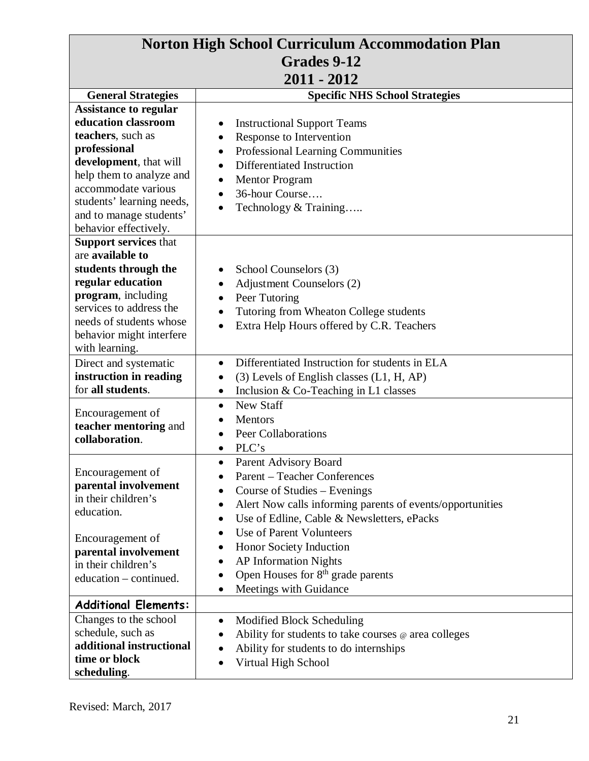| <b>Norton High School Curriculum Accommodation Plan</b>                                                                                                                                                                 |                                                                                                                                                                                                                                   |
|-------------------------------------------------------------------------------------------------------------------------------------------------------------------------------------------------------------------------|-----------------------------------------------------------------------------------------------------------------------------------------------------------------------------------------------------------------------------------|
| Grades 9-12                                                                                                                                                                                                             |                                                                                                                                                                                                                                   |
| $2011 - 2012$                                                                                                                                                                                                           |                                                                                                                                                                                                                                   |
| <b>General Strategies</b>                                                                                                                                                                                               | <b>Specific NHS School Strategies</b>                                                                                                                                                                                             |
| <b>Assistance to regular</b><br>education classroom<br>teachers, such as                                                                                                                                                | <b>Instructional Support Teams</b><br>Response to Intervention                                                                                                                                                                    |
| professional<br>development, that will<br>help them to analyze and<br>accommodate various<br>students' learning needs,<br>and to manage students'<br>behavior effectively.                                              | <b>Professional Learning Communities</b><br>Differentiated Instruction<br>$\bullet$<br>Mentor Program<br>$\bullet$<br>36-hour Course<br>$\bullet$<br>Technology & Training<br>$\bullet$                                           |
| <b>Support services that</b><br>are available to<br>students through the<br>regular education<br>program, including<br>services to address the<br>needs of students whose<br>behavior might interfere<br>with learning. | School Counselors (3)<br><b>Adjustment Counselors (2)</b><br>$\bullet$<br>Peer Tutoring<br>Tutoring from Wheaton College students<br>$\bullet$<br>Extra Help Hours offered by C.R. Teachers<br>$\bullet$                          |
| Direct and systematic<br>instruction in reading<br>for all students.                                                                                                                                                    | Differentiated Instruction for students in ELA<br>$\bullet$<br>$(3)$ Levels of English classes $(L1, H, AP)$<br>٠<br>Inclusion $& Co-Teaching$ in L1 classes                                                                      |
| Encouragement of<br>teacher mentoring and<br>collaboration.                                                                                                                                                             | <b>New Staff</b><br>$\bullet$<br>Mentors<br><b>Peer Collaborations</b><br>PLC's                                                                                                                                                   |
| Encouragement of<br>parental involvement<br>in their children's<br>education.                                                                                                                                           | Parent Advisory Board<br><b>Parent – Teacher Conferences</b><br>Course of Studies – Evenings<br>$\bullet$<br>Alert Now calls informing parents of events/opportunities<br>Use of Edline, Cable & Newsletters, ePacks<br>$\bullet$ |
| Encouragement of<br>parental involvement<br>in their children's<br>education – continued.                                                                                                                               | Use of Parent Volunteers<br>$\bullet$<br>Honor Society Induction<br><b>AP Information Nights</b><br>Open Houses for 8 <sup>th</sup> grade parents<br>Meetings with Guidance<br>$\bullet$                                          |
| <b>Additional Elements:</b>                                                                                                                                                                                             |                                                                                                                                                                                                                                   |
| Changes to the school<br>schedule, such as<br>additional instructional<br>time or block<br>scheduling.                                                                                                                  | Modified Block Scheduling<br>٠<br>Ability for students to take courses @ area colleges<br>$\bullet$<br>Ability for students to do internships<br>٠<br>Virtual High School<br>$\bullet$                                            |